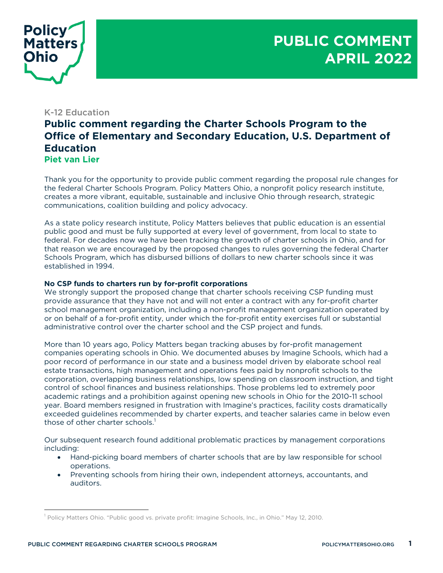

## K-12 Education

## **Public comment regarding the Charter Schools Program to the Office of Elementary and Secondary Education, U.S. Department of Education Piet van Lier**

Thank you for the opportunity to provide public comment regarding the proposal rule changes for the federal Charter Schools Program. Policy Matters Ohio, a nonprofit policy research institute, creates a more vibrant, equitable, sustainable and inclusive Ohio through research, strategic communications, coalition building and policy advocacy.

As a state policy research institute, Policy Matters believes that public education is an essential public good and must be fully supported at every level of government, from local to state to federal. For decades now we have been tracking the growth of charter schools in Ohio, and for that reason we are encouraged by the proposed changes to rules governing the federal Charter Schools Program, which has disbursed billions of dollars to new charter schools since it was established in 1994.

## **No CSP funds to charters run by for-profit corporations**

We strongly support the proposed change that charter schools receiving CSP funding must provide assurance that they have not and will not enter a contract with any for-profit charter school management organization, including a non-profit management organization operated by or on behalf of a for-profit entity, under which the for-profit entity exercises full or substantial administrative control over the charter school and the CSP project and funds.

More than 10 years ago, Policy Matters began tracking abuses by for-profit management companies operating schools in Ohio. We documented abuses by Imagine Schools, which had a poor record of performance in our state and a business model driven by elaborate school real estate transactions, high management and operations fees paid by nonprofit schools to the corporation, overlapping business relationships, low spending on classroom instruction, and tight control of school finances and business relationships. Those problems led to extremely poor academic ratings and a prohibition against opening new schools in Ohio for the 2010-11 school year. Board members resigned in frustration with Imagine's practices, facility costs dramatically exceeded guidelines recommended by charter experts, and teacher salaries came in below even those of other charter schools.<sup>1</sup>

Our subsequent research found additional problematic practices by management corporations including:

- Hand-picking board members of charter schools that are by law responsible for school operations.
- Preventing schools from hiring their own, independent attorneys, accountants, and auditors.

<sup>&</sup>lt;sup>1</sup> Policy Matters Ohio. "Public good vs. private profit: Imagine Schools, Inc., in Ohio." May 12, 2010.